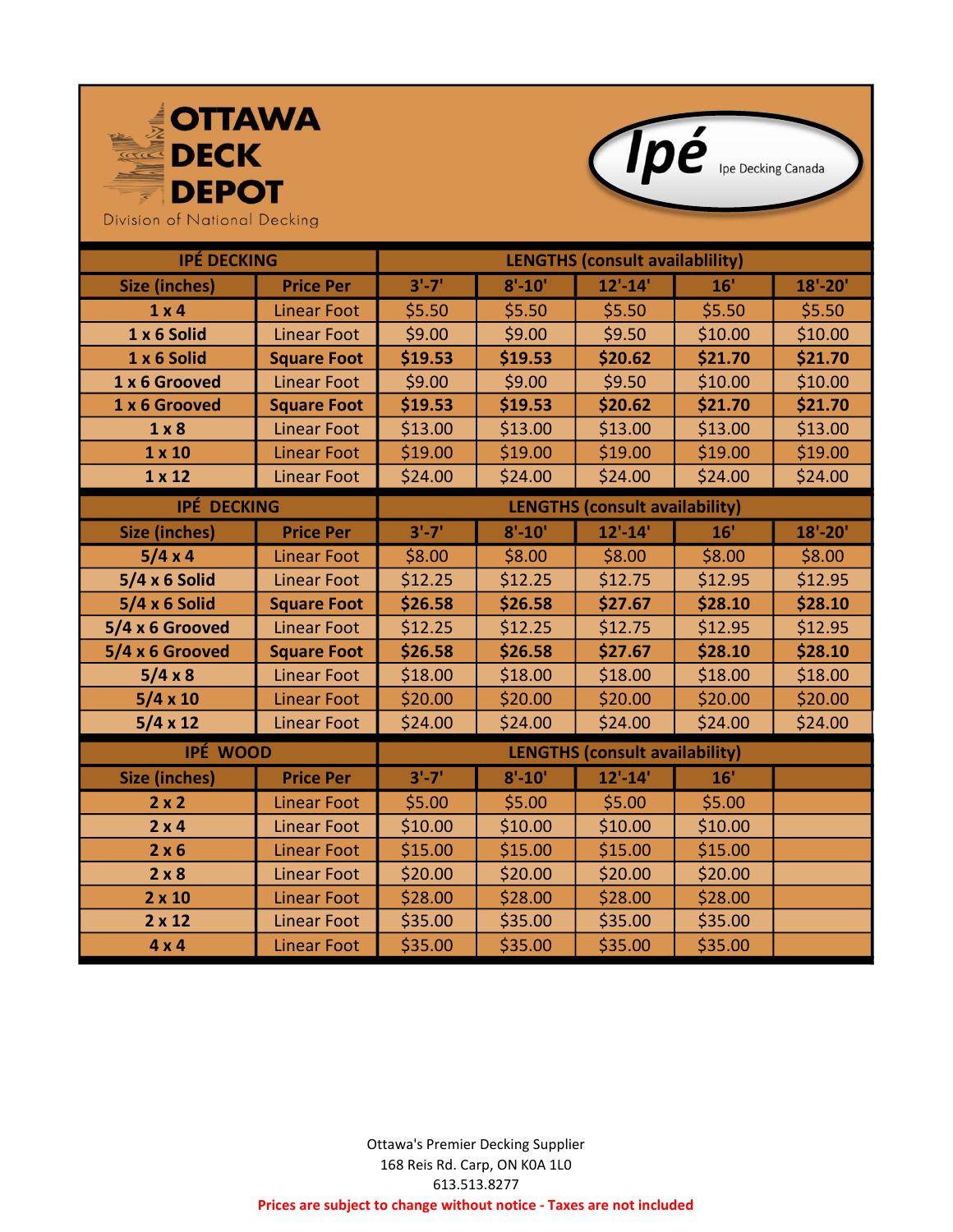



Division of National Decking

| <b>IPÉ DECKING</b>   |                    | <b>LENGTHS (consult availablility)</b> |            |             |         |             |
|----------------------|--------------------|----------------------------------------|------------|-------------|---------|-------------|
| <b>Size (inches)</b> | <b>Price Per</b>   | $3'-7'$                                | $8' - 10'$ | $12' - 14'$ | 16'     | $18' - 20'$ |
| $1 \times 4$         | <b>Linear Foot</b> | \$5.50                                 | \$5.50     | \$5.50      | \$5.50  | \$5.50      |
| 1 x 6 Solid          | <b>Linear Foot</b> | \$9.00                                 | \$9.00     | \$9.50      | \$10.00 | \$10.00     |
| 1 x 6 Solid          | <b>Square Foot</b> | \$19.53                                | \$19.53    | \$20.62     | \$21.70 | \$21.70     |
| 1 x 6 Grooved        | <b>Linear Foot</b> | \$9.00                                 | \$9.00     | \$9.50      | \$10.00 | \$10.00     |
| 1 x 6 Grooved        | <b>Square Foot</b> | \$19.53                                | \$19.53    | \$20.62     | \$21.70 | \$21.70     |
| 1 × 8                | <b>Linear Foot</b> | \$13.00                                | \$13.00    | \$13.00     | \$13.00 | \$13.00     |
| $1 \times 10$        | <b>Linear Foot</b> | \$19.00                                | \$19.00    | \$19.00     | \$19.00 | \$19.00     |
| $1 \times 12$        | <b>Linear Foot</b> | \$24.00                                | \$24.00    | \$24.00     | \$24.00 | \$24.00     |
| <b>IPÉ DECKING</b>   |                    | <b>LENGTHS (consult availability)</b>  |            |             |         |             |
| <b>Size (inches)</b> | <b>Price Per</b>   | $3'-7'$                                | $8' - 10'$ | $12' - 14'$ | 16'     | $18' - 20'$ |
| 5/4 x 4              | <b>Linear Foot</b> | \$8.00                                 | \$8.00     | \$8.00      | \$8.00  | \$8.00      |
| $5/4 \times 6$ Solid | Linear Foot        | \$12.25                                | \$12.25    | \$12.75     | \$12.95 | \$12.95     |
| $5/4 \times 6$ Solid | <b>Square Foot</b> | \$26.58                                | \$26.58    | \$27.67     | \$28.10 | \$28.10     |
| 5/4 x 6 Grooved      | <b>Linear Foot</b> | \$12.25                                | \$12.25    | \$12.75     | \$12.95 | \$12.95     |
| 5/4 x 6 Grooved      | <b>Square Foot</b> | \$26.58                                | \$26.58    | \$27.67     | \$28.10 | \$28.10     |
| $5/4 \times 8$       | <b>Linear Foot</b> | \$18.00                                | \$18.00    | \$18.00     | \$18.00 | \$18.00     |
| $5/4 \times 10$      | <b>Linear Foot</b> | \$20.00                                | \$20.00    | \$20.00     | \$20.00 | \$20.00     |
| $5/4 \times 12$      | <b>Linear Foot</b> | \$24.00                                | \$24.00    | \$24.00     | \$24.00 | \$24.00     |
| IPÉ WOOD             |                    | <b>LENGTHS (consult availability)</b>  |            |             |         |             |
| <b>Size (inches)</b> | <b>Price Per</b>   | $3'-7'$                                | $8' - 10'$ | $12' - 14'$ | 16'     |             |
| 2x2                  | <b>Linear Foot</b> | \$5.00                                 | \$5.00     | \$5.00      | \$5.00  |             |
| $2 \times 4$         | <b>Linear Foot</b> | \$10.00                                | \$10.00    | \$10.00     | \$10.00 |             |
| 2 × 6                | <b>Linear Foot</b> | \$15.00                                | \$15.00    | \$15.00     | \$15.00 |             |
| 2 × 8                | <b>Linear Foot</b> | \$20.00                                | \$20.00    | \$20.00     | \$20.00 |             |
| $2 \times 10$        | <b>Linear Foot</b> | \$28.00                                | \$28.00    | \$28.00     | \$28.00 |             |
| $2 \times 12$        | <b>Linear Foot</b> | \$35.00                                | \$35.00    | \$35.00     | \$35.00 |             |
| $4 \times 4$         | <b>Linear Foot</b> | \$35.00                                | \$35.00    | \$35.00     | \$35.00 |             |